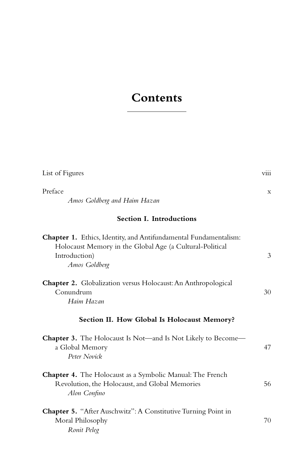## **Contents**

| List of Figures                                                                                                                                                | viii |
|----------------------------------------------------------------------------------------------------------------------------------------------------------------|------|
| Preface<br>Amos Goldberg and Haim Hazan                                                                                                                        | X    |
| <b>Section I. Introductions</b>                                                                                                                                |      |
| Chapter 1. Ethics, Identity, and Antifundamental Fundamentalism:<br>Holocaust Memory in the Global Age (a Cultural-Political<br>Introduction)<br>Amos Goldberg | 3    |
| <b>Chapter 2.</b> Globalization versus Holocaust: An Anthropological<br>Conundrum<br>Haim Hazan                                                                | 30   |
| Section II. How Global Is Holocaust Memory?                                                                                                                    |      |
| <b>Chapter 3.</b> The Holocaust Is Not—and Is Not Likely to Become—<br>a Global Memory<br>Peter Novick                                                         | 47   |
| <b>Chapter 4.</b> The Holocaust as a Symbolic Manual: The French<br>Revolution, the Holocaust, and Global Memories<br>Alon Confino                             | 56   |
| Chapter 5. "After Auschwitz": A Constitutive Turning Point in<br>Moral Philosophy<br>Ronit Peleg                                                               | 70   |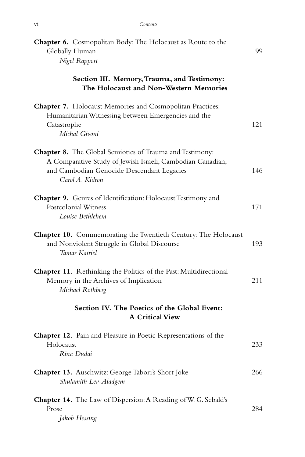| <b>Chapter 6.</b> Cosmopolitan Body: The Holocaust as Route to the<br>Globally Human<br>Nigel Rapport                                                                                          | 99  |
|------------------------------------------------------------------------------------------------------------------------------------------------------------------------------------------------|-----|
| Section III. Memory, Trauma, and Testimony:<br>The Holocaust and Non-Western Memories                                                                                                          |     |
| Chapter 7. Holocaust Memories and Cosmopolitan Practices:<br>Humanitarian Witnessing between Emergencies and the<br>Catastrophe<br>Michal Givoni                                               | 121 |
| <b>Chapter 8.</b> The Global Semiotics of Trauma and Testimony:<br>A Comparative Study of Jewish Israeli, Cambodian Canadian,<br>and Cambodian Genocide Descendant Legacies<br>Carol A. Kidron | 146 |
| Chapter 9. Genres of Identification: Holocaust Testimony and<br>Postcolonial Witness<br>Louise Bethlehem                                                                                       | 171 |
| <b>Chapter 10.</b> Commemorating the Twentieth Century: The Holocaust<br>and Nonviolent Struggle in Global Discourse<br>Tamar Katriel                                                          | 193 |
| Chapter 11. Rethinking the Politics of the Past: Multidirectional<br>Memory in the Archives of Implication<br>Michael Rothberg                                                                 | 211 |
| Section IV. The Poetics of the Global Event:<br><b>A Critical View</b>                                                                                                                         |     |
| Chapter 12. Pain and Pleasure in Poetic Representations of the<br>Holocaust<br>Rina Dudai                                                                                                      | 233 |
| <b>Chapter 13.</b> Auschwitz: George Tabori's Short Joke<br>Shulamith Lev-Aladgem                                                                                                              | 266 |
| <b>Chapter 14.</b> The Law of Dispersion: A Reading of W. G. Sebald's<br>Prose<br>Jakob Hessing                                                                                                | 284 |